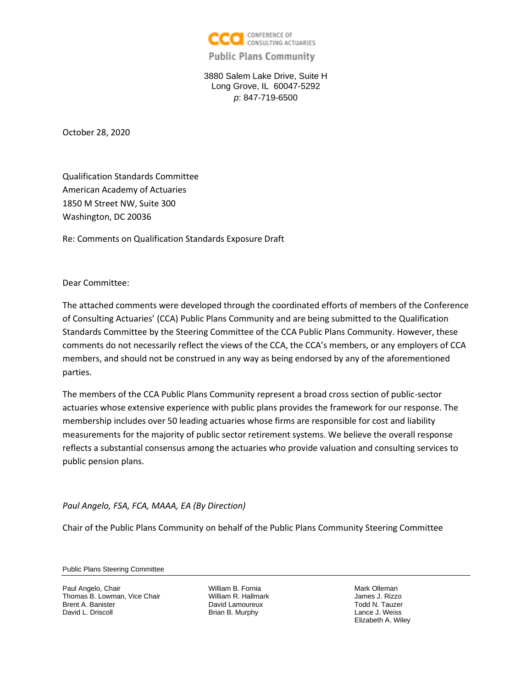

## **Public Plans Community**

3880 Salem Lake Drive, Suite H Long Grove, IL 60047-5292 *p*: 847-719-6500

October 28, 2020

Qualification Standards Committee American Academy of Actuaries 1850 M Street NW, Suite 300 Washington, DC 20036

Re: Comments on Qualification Standards Exposure Draft

Dear Committee:

The attached comments were developed through the coordinated efforts of members of the Conference of Consulting Actuaries' (CCA) Public Plans Community and are being submitted to the Qualification Standards Committee by the Steering Committee of the CCA Public Plans Community. However, these comments do not necessarily reflect the views of the CCA, the CCA's members, or any employers of CCA members, and should not be construed in any way as being endorsed by any of the aforementioned parties.

The members of the CCA Public Plans Community represent a broad cross section of public‐sector actuaries whose extensive experience with public plans provides the framework for our response. The membership includes over 50 leading actuaries whose firms are responsible for cost and liability measurements for the majority of public sector retirement systems. We believe the overall response reflects a substantial consensus among the actuaries who provide valuation and consulting services to public pension plans.

*Paul Angelo, FSA, FCA, MAAA, EA (By Direction)*

Chair of the Public Plans Community on behalf of the Public Plans Community Steering Committee

Public Plans Steering Committee

Paul Angelo, Chair Thomas B. Lowman, Vice Chair Brent A. Banister David L. Driscoll

William B. Fornia William R. Hallmark David Lamoureux Brian B. Murphy

Mark Olleman James J. Rizzo Todd N. Tauzer Lance J. Weiss Elizabeth A. Wiley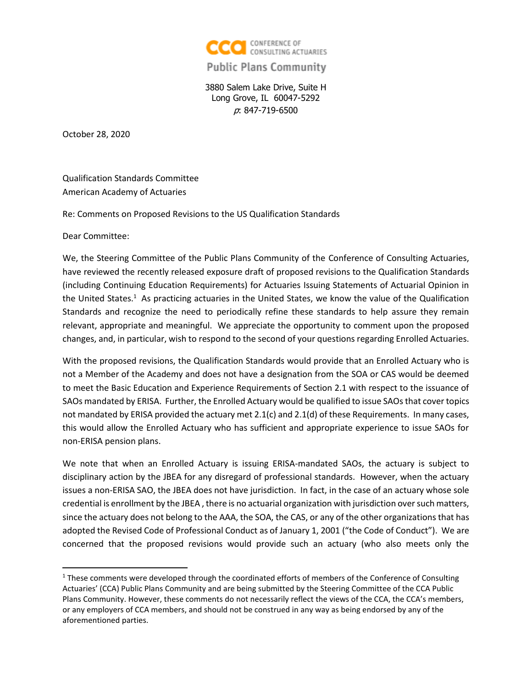

## **Public Plans Community**

3880 Salem Lake Drive, Suite H Long Grove, IL 60047-5292 p: 847-719-6500

October 28, 2020

Qualification Standards Committee American Academy of Actuaries

Re: Comments on Proposed Revisions to the US Qualification Standards

Dear Committee:

We, the Steering Committee of the Public Plans Community of the Conference of Consulting Actuaries, have reviewed the recently released exposure draft of proposed revisions to the Qualification Standards (including Continuing Education Requirements) for Actuaries Issuing Statements of Actuarial Opinion in the United States.<sup>1</sup> As practicing actuaries in the United States, we know the value of the Qualification Standards and recognize the need to periodically refine these standards to help assure they remain relevant, appropriate and meaningful. We appreciate the opportunity to comment upon the proposed changes, and, in particular, wish to respond to the second of your questions regarding Enrolled Actuaries.

With the proposed revisions, the Qualification Standards would provide that an Enrolled Actuary who is not a Member of the Academy and does not have a designation from the SOA or CAS would be deemed to meet the Basic Education and Experience Requirements of Section 2.1 with respect to the issuance of SAOs mandated by ERISA. Further, the Enrolled Actuary would be qualified to issue SAOs that cover topics not mandated by ERISA provided the actuary met 2.1(c) and 2.1(d) of these Requirements. In many cases, this would allow the Enrolled Actuary who has sufficient and appropriate experience to issue SAOs for non-ERISA pension plans.

We note that when an Enrolled Actuary is issuing ERISA-mandated SAOs, the actuary is subject to disciplinary action by the JBEA for any disregard of professional standards. However, when the actuary issues a non-ERISA SAO, the JBEA does not have jurisdiction. In fact, in the case of an actuary whose sole credential is enrollment by the JBEA , there is no actuarial organization with jurisdiction over such matters, since the actuary does not belong to the AAA, the SOA, the CAS, or any of the other organizations that has adopted the Revised Code of Professional Conduct as of January 1, 2001 ("the Code of Conduct"). We are concerned that the proposed revisions would provide such an actuary (who also meets only the

 $1$  These comments were developed through the coordinated efforts of members of the Conference of Consulting Actuaries' (CCA) Public Plans Community and are being submitted by the Steering Committee of the CCA Public Plans Community. However, these comments do not necessarily reflect the views of the CCA, the CCA's members, or any employers of CCA members, and should not be construed in any way as being endorsed by any of the aforementioned parties.